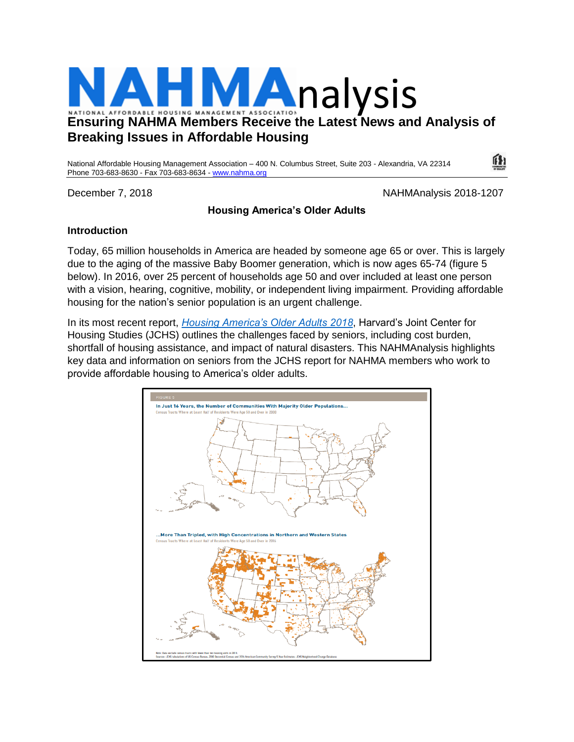

# **Breaking Issues in Affordable Housing**

National Affordable Housing Management Association – 400 N. Columbus Street, Suite 203 - Alexandria, VA 22314 Phone 703-683-8630 - Fax 703-683-8634 - [www.nahma.org](http://www.nahma.org/)

December 7, 2018 NAHMAnalysis 2018-1207

 $\mathbf{I}$ 

## **Housing America's Older Adults**

### **Introduction**

Today, 65 million households in America are headed by someone age 65 or over. This is largely due to the aging of the massive Baby Boomer generation, which is now ages 65-74 (figure 5 below). In 2016, over 25 percent of households age 50 and over included at least one person with a vision, hearing, cognitive, mobility, or independent living impairment. Providing affordable housing for the nation's senior population is an urgent challenge.

In its most recent report, *[Housing America's Older Adults 2018](http://www.jchs.harvard.edu/housing-americas-older-adults-2018)*, Harvard's Joint Center for Housing Studies (JCHS) outlines the challenges faced by seniors, including cost burden, shortfall of housing assistance, and impact of natural disasters. This NAHMAnalysis highlights key data and information on seniors from the JCHS report for NAHMA members who work to provide affordable housing to America's older adults.

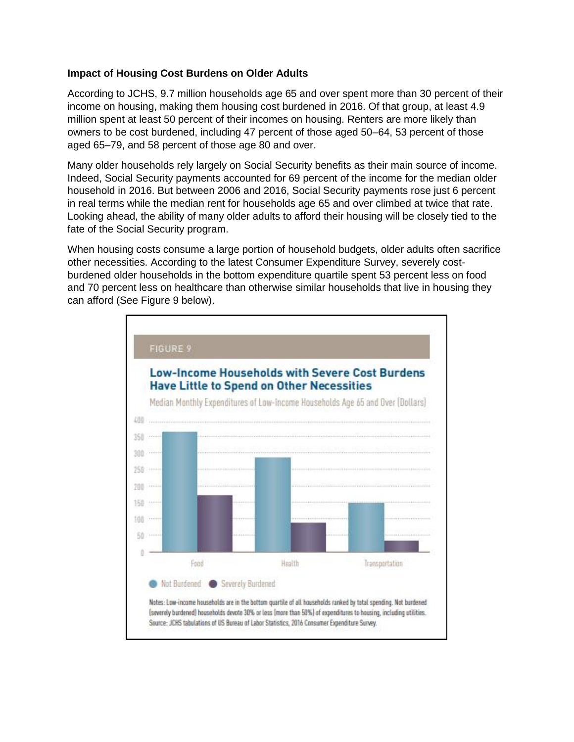#### **Impact of Housing Cost Burdens on Older Adults**

According to JCHS, 9.7 million households age 65 and over spent more than 30 percent of their income on housing, making them housing cost burdened in 2016. Of that group, at least 4.9 million spent at least 50 percent of their incomes on housing. Renters are more likely than owners to be cost burdened, including 47 percent of those aged 50–64, 53 percent of those aged 65–79, and 58 percent of those age 80 and over.

Many older households rely largely on Social Security benefits as their main source of income. Indeed, Social Security payments accounted for 69 percent of the income for the median older household in 2016. But between 2006 and 2016, Social Security payments rose just 6 percent in real terms while the median rent for households age 65 and over climbed at twice that rate. Looking ahead, the ability of many older adults to afford their housing will be closely tied to the fate of the Social Security program.

When housing costs consume a large portion of household budgets, older adults often sacrifice other necessities. According to the latest Consumer Expenditure Survey, severely costburdened older households in the bottom expenditure quartile spent 53 percent less on food and 70 percent less on healthcare than otherwise similar households that live in housing they can afford (See Figure 9 below).